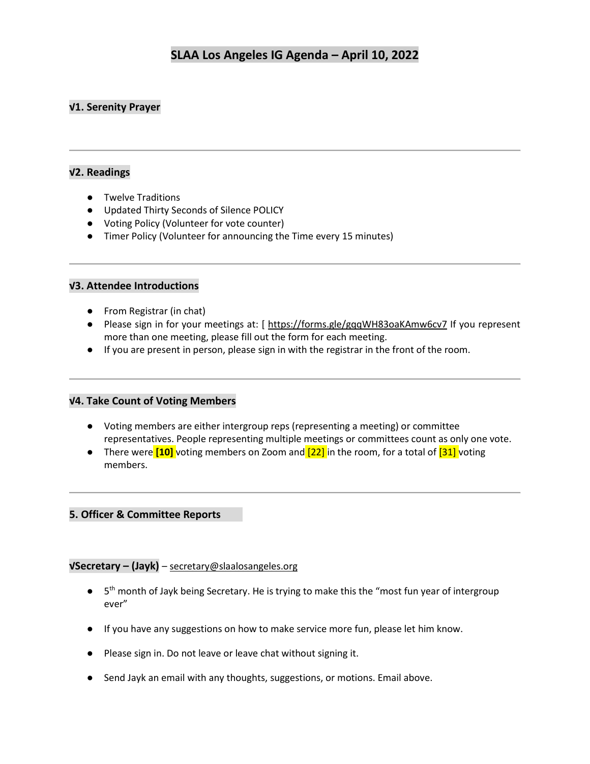## **√1. Serenity Prayer**

## **√2. Readings**

- Twelve Traditions
- Updated Thirty Seconds of Silence POLICY
- Voting Policy (Volunteer for vote counter)
- Timer Policy (Volunteer for announcing the Time every 15 minutes)

## **√3. Attendee Introductions**

- From Registrar (in chat)
- Please sign in for your meetings at: [<https://forms.gle/gqqWH83oaKAmw6cv7> If you represent more than one meeting, please fill out the form for each meeting.
- If you are present in person, please sign in with the registrar in the front of the room.

### **√4. Take Count of Voting Members**

- Voting members are either intergroup reps (representing a meeting) or committee representatives. People representing multiple meetings or committees count as only one vote.
- There were **[10]** voting members on Zoom and **[22]** in the room, for a total of **[31]** voting members.

### **5. Officer & Committee Reports**

### **√Secretary – (Jayk)** – [secretary@slaalosangeles.org](mailto:secretary@slaalosangeles.org)

- 5<sup>th</sup> month of Jayk being Secretary. He is trying to make this the "most fun year of intergroup ever"
- If you have any suggestions on how to make service more fun, please let him know.
- Please sign in. Do not leave or leave chat without signing it.
- Send Jayk an email with any thoughts, suggestions, or motions. Email above.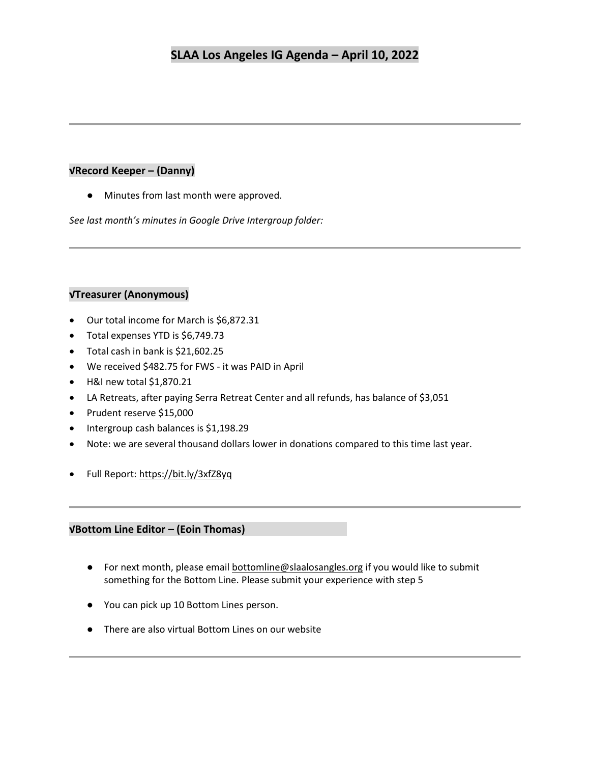## **√Record Keeper – (Danny)**

● Minutes from last month were approved.

*See last month's minutes in Google Drive Intergroup folder:* 

## **√Treasurer (Anonymous)**

- Our total income for March is \$6,872.31
- Total expenses YTD is \$6,749.73
- Total cash in bank is \$21,602.25
- We received \$482.75 for FWS it was PAID in April
- H&I new total \$1,870.21
- LA Retreats, after paying Serra Retreat Center and all refunds, has balance of \$3,051
- Prudent reserve \$15,000
- Intergroup cash balances is \$1,198.29
- Note: we are several thousand dollars lower in donations compared to this time last year.
- Full Report: <https://bit.ly/3xfZ8yq>

## **√Bottom Line Editor – (Eoin Thomas)**

- For next month, please email **bottomline@slaalosangles.org** if you would like to submit something for the Bottom Line. Please submit your experience with step 5
- You can pick up 10 Bottom Lines person.
- There are also virtual Bottom Lines on our website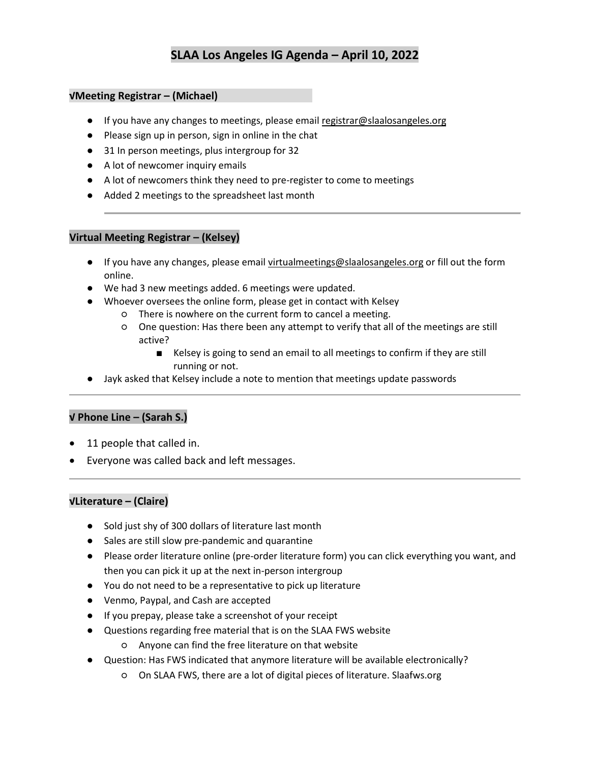## **√Meeting Registrar – (Michael)**

- If you have any changes to meetings, please email [registrar@slaalosangeles.org](mailto:registrar@slaalosangeles.org)
- Please sign up in person, sign in online in the chat
- 31 In person meetings, plus intergroup for 32
- A lot of newcomer inquiry emails
- A lot of newcomers think they need to pre-register to come to meetings
- Added 2 meetings to the spreadsheet last month

#### **Virtual Meeting Registrar – (Kelsey)**

- If you have any changes, please email [virtualmeetings@slaalosangeles.org](mailto:virtualmeetings@slaalosangeles.org) or fill out the form online.
- We had 3 new meetings added. 6 meetings were updated.
- Whoever oversees the online form, please get in contact with Kelsey
	- There is nowhere on the current form to cancel a meeting.
	- One question: Has there been any attempt to verify that all of the meetings are still active?
		- Kelsey is going to send an email to all meetings to confirm if they are still running or not.
- Jayk asked that Kelsey include a note to mention that meetings update passwords

## **√ Phone Line – (Sarah S.)**

- 11 people that called in.
- Everyone was called back and left messages.

### **√Literature – (Claire)**

- Sold just shy of 300 dollars of literature last month
- Sales are still slow pre-pandemic and quarantine
- Please order literature online (pre-order literature form) you can click everything you want, and then you can pick it up at the next in-person intergroup
- You do not need to be a representative to pick up literature
- Venmo, Paypal, and Cash are accepted
- If you prepay, please take a screenshot of your receipt
- Questions regarding free material that is on the SLAA FWS website
	- Anyone can find the free literature on that website
- Question: Has FWS indicated that anymore literature will be available electronically?
	- On SLAA FWS, there are a lot of digital pieces of literature. Slaafws.org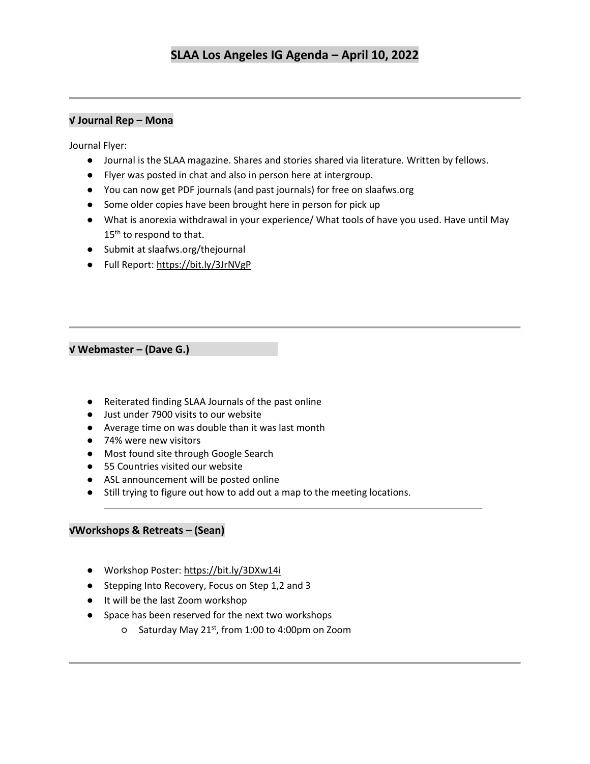## **√ Journal Rep – Mona**

Journal Flyer:

- Journal is the SLAA magazine. Shares and stories shared via literature. Written by fellows.
- Flyer was posted in chat and also in person here at intergroup.
- You can now get PDF journals (and past journals) for free on slaafws.org
- Some older copies have been brought here in person for pick up
- What is anorexia withdrawal in your experience/ What tools of have you used. Have until May 15<sup>th</sup> to respond to that.
- Submit at slaafws.org/thejournal
- Full Report:<https://bit.ly/3JrNVgP>

## **√ Webmaster – (Dave G.)**

- Reiterated finding SLAA Journals of the past online
- Just under 7900 visits to our website
- Average time on was double than it was last month
- 74% were new visitors
- Most found site through Google Search
- 55 Countries visited our website
- ASL announcement will be posted online
- Still trying to figure out how to add out a map to the meeting locations.

### **√Workshops & Retreats – (Sean)**

- Workshop Poster:<https://bit.ly/3DXw14i>
- Stepping Into Recovery, Focus on Step 1,2 and 3
- It will be the last Zoom workshop
- Space has been reserved for the next two workshops
	- Saturday May 21st, from 1:00 to 4:00pm on Zoom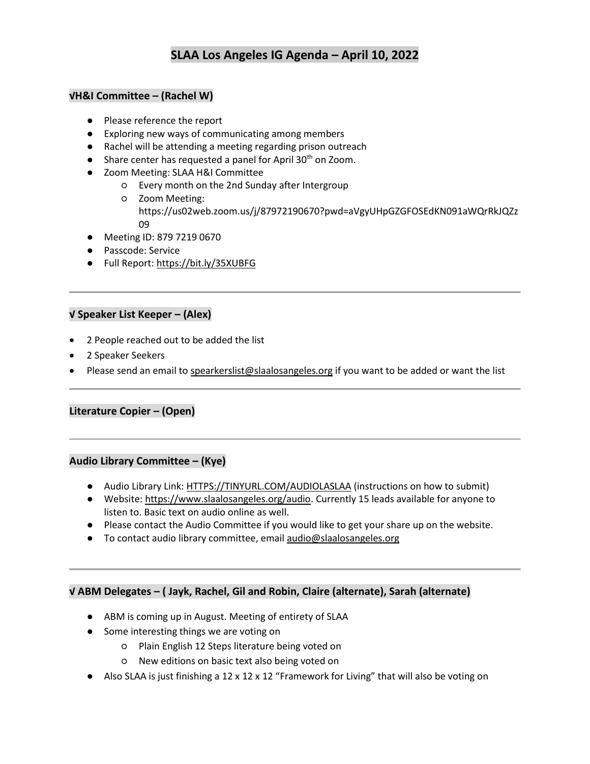## **√H&I Committee – (Rachel W)**

- Please reference the report
- Exploring new ways of communicating among members
- Rachel will be attending a meeting regarding prison outreach
- $\bullet$  Share center has requested a panel for April 30<sup>th</sup> on Zoom.
- Zoom Meeting: SLAA H&I Committee
	- Every month on the 2nd Sunday after Intergroup
	- Zoom Meeting: https://us02web.zoom.us/j/87972190670?pwd=aVgyUHpGZGFOSEdKN091aWQrRkJQZz 09
- Meeting ID: 879 7219 0670
- Passcode: Service
- Full Report:<https://bit.ly/35XUBFG>

## **√ Speaker List Keeper – (Alex)**

- 2 People reached out to be added the list
- 2 Speaker Seekers
- Please send an email t[o spearkerslist@slaalosangeles.org](mailto:spearkerslist@slaalosangeles.org) if you want to be added or want the list

## **Literature Copier – (Open)**

### **Audio Library Committee – (Kye)**

- Audio Library Link: [HTTPS://TINYURL.COM/AUDIOLASLAA](https://tinyurl.com/AUDIOLASLAA) (instructions on how to submit)
- Website[: https://www.slaalosangeles.org/audio.](https://www.slaalosangeles.org/audio) Currently 15 leads available for anyone to listen to. Basic text on audio online as well.
- Please contact the Audio Committee if you would like to get your share up on the website.
- To contact audio library committee, emai[l audio@slaalosangeles.org](mailto:audio@slaalosangeles.org)

### **√ ABM Delegates – ( Jayk, Rachel, Gil and Robin, Claire (alternate), Sarah (alternate)**

- ABM is coming up in August. Meeting of entirety of SLAA
- Some interesting things we are voting on
	- Plain English 12 Steps literature being voted on
	- New editions on basic text also being voted on
- Also SLAA is just finishing a 12 x 12 x 12 "Framework for Living" that will also be voting on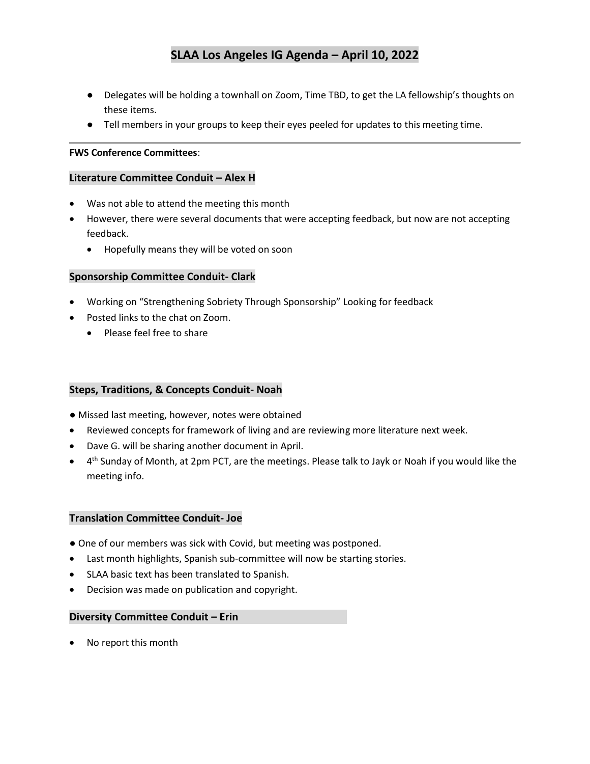- Delegates will be holding a townhall on Zoom, Time TBD, to get the LA fellowship's thoughts on these items.
- Tell members in your groups to keep their eyes peeled for updates to this meeting time.

#### **FWS Conference Committees**:

#### **Literature Committee Conduit – Alex H**

- Was not able to attend the meeting this month
- However, there were several documents that were accepting feedback, but now are not accepting feedback.
	- Hopefully means they will be voted on soon

#### **Sponsorship Committee Conduit- Clark**

- Working on "Strengthening Sobriety Through Sponsorship" Looking for feedback
- Posted links to the chat on Zoom.
	- Please feel free to share

#### **Steps, Traditions, & Concepts Conduit- Noah**

- Missed last meeting, however, notes were obtained
- Reviewed concepts for framework of living and are reviewing more literature next week.
- Dave G. will be sharing another document in April.
- 4 th Sunday of Month, at 2pm PCT, are the meetings. Please talk to Jayk or Noah if you would like the meeting info.

#### **Translation Committee Conduit- Joe**

- One of our members was sick with Covid, but meeting was postponed.
- Last month highlights, Spanish sub-committee will now be starting stories.
- SLAA basic text has been translated to Spanish.
- Decision was made on publication and copyright.

## **Diversity Committee Conduit – Erin**

• No report this month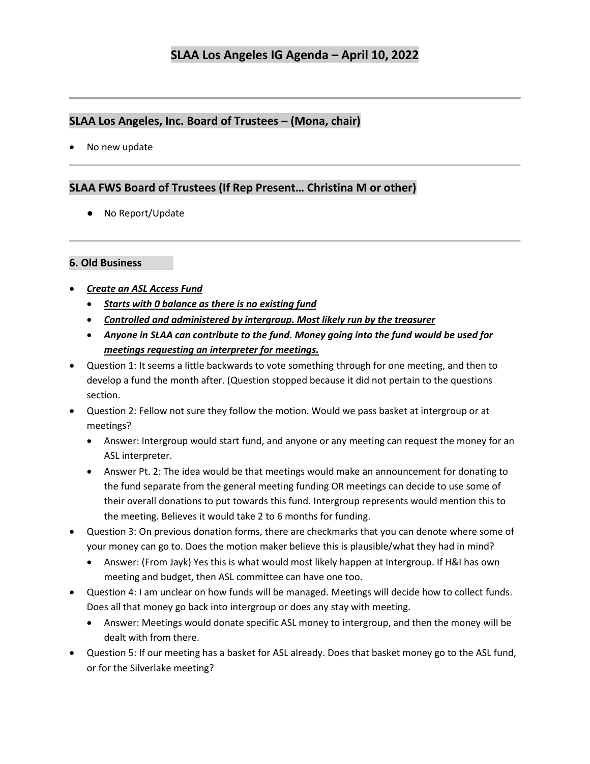## **SLAA Los Angeles, Inc. Board of Trustees – (Mona, chair)**

• No new update

## **SLAA FWS Board of Trustees (If Rep Present… Christina M or other)**

● No Report/Update

## **6. Old Business**

- *Create an ASL Access Fund*
	- *Starts with 0 balance as there is no existing fund*
	- *Controlled and administered by intergroup. Most likely run by the treasurer*
	- *Anyone in SLAA can contribute to the fund. Money going into the fund would be used for meetings requesting an interpreter for meetings.*
- Question 1: It seems a little backwards to vote something through for one meeting, and then to develop a fund the month after. (Question stopped because it did not pertain to the questions section.
- Question 2: Fellow not sure they follow the motion. Would we pass basket at intergroup or at meetings?
	- Answer: Intergroup would start fund, and anyone or any meeting can request the money for an ASL interpreter.
	- Answer Pt. 2: The idea would be that meetings would make an announcement for donating to the fund separate from the general meeting funding OR meetings can decide to use some of their overall donations to put towards this fund. Intergroup represents would mention this to the meeting. Believes it would take 2 to 6 months for funding.
- Question 3: On previous donation forms, there are checkmarks that you can denote where some of your money can go to. Does the motion maker believe this is plausible/what they had in mind?
	- Answer: (From Jayk) Yes this is what would most likely happen at Intergroup. If H&I has own meeting and budget, then ASL committee can have one too.
- Question 4: I am unclear on how funds will be managed. Meetings will decide how to collect funds. Does all that money go back into intergroup or does any stay with meeting.
	- Answer: Meetings would donate specific ASL money to intergroup, and then the money will be dealt with from there.
- Question 5: If our meeting has a basket for ASL already. Does that basket money go to the ASL fund, or for the Silverlake meeting?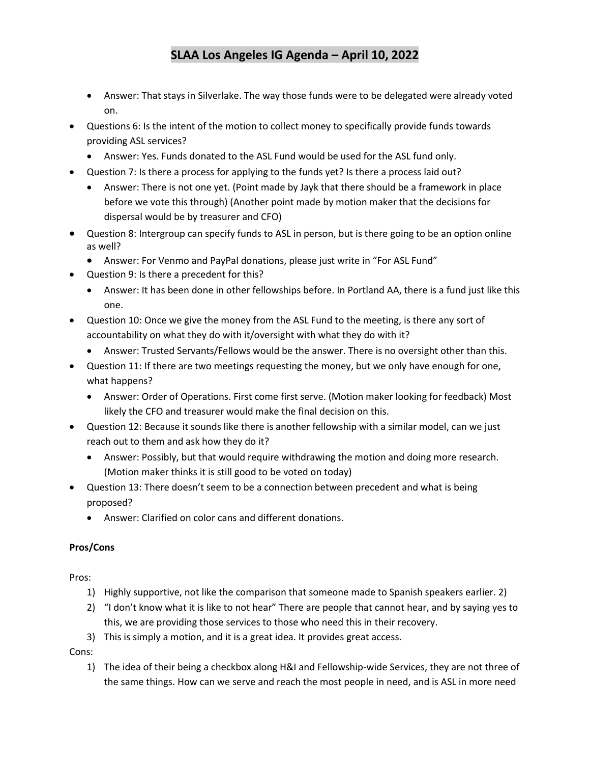- Answer: That stays in Silverlake. The way those funds were to be delegated were already voted on.
- Questions 6: Is the intent of the motion to collect money to specifically provide funds towards providing ASL services?
	- Answer: Yes. Funds donated to the ASL Fund would be used for the ASL fund only.
- Question 7: Is there a process for applying to the funds yet? Is there a process laid out?
	- Answer: There is not one yet. (Point made by Jayk that there should be a framework in place before we vote this through) (Another point made by motion maker that the decisions for dispersal would be by treasurer and CFO)
- Question 8: Intergroup can specify funds to ASL in person, but is there going to be an option online as well?
	- Answer: For Venmo and PayPal donations, please just write in "For ASL Fund"
- Question 9: Is there a precedent for this?
	- Answer: It has been done in other fellowships before. In Portland AA, there is a fund just like this one.
- Question 10: Once we give the money from the ASL Fund to the meeting, is there any sort of accountability on what they do with it/oversight with what they do with it?
	- Answer: Trusted Servants/Fellows would be the answer. There is no oversight other than this.
- Question 11: If there are two meetings requesting the money, but we only have enough for one, what happens?
	- Answer: Order of Operations. First come first serve. (Motion maker looking for feedback) Most likely the CFO and treasurer would make the final decision on this.
- Question 12: Because it sounds like there is another fellowship with a similar model, can we just reach out to them and ask how they do it?
	- Answer: Possibly, but that would require withdrawing the motion and doing more research. (Motion maker thinks it is still good to be voted on today)
- Question 13: There doesn't seem to be a connection between precedent and what is being proposed?
	- Answer: Clarified on color cans and different donations.

### **Pros/Cons**

Pros:

- 1) Highly supportive, not like the comparison that someone made to Spanish speakers earlier. 2)
- 2) "I don't know what it is like to not hear" There are people that cannot hear, and by saying yes to this, we are providing those services to those who need this in their recovery.
- 3) This is simply a motion, and it is a great idea. It provides great access.

Cons:

1) The idea of their being a checkbox along H&I and Fellowship-wide Services, they are not three of the same things. How can we serve and reach the most people in need, and is ASL in more need